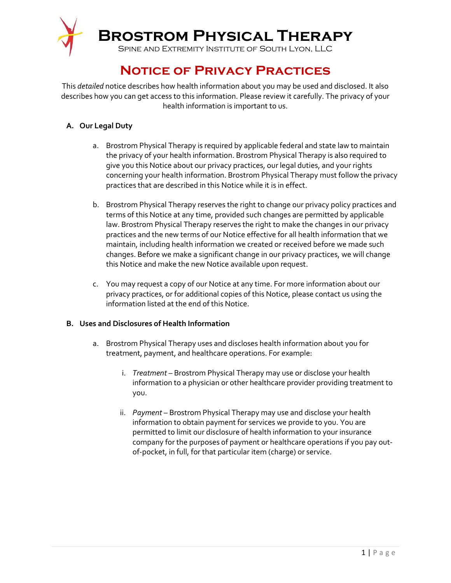

# **Notice of Privacy Practices**

This *detailed* notice describes how health information about you may be used and disclosed. It also describes how you can get access to this information. Please review it carefully. The privacy of your health information is important to us.

## **A. Our Legal Duty**

- a. Brostrom Physical Therapy is required by applicable federal and state law to maintain the privacy of your health information. Brostrom Physical Therapy is also required to give you this Notice about our privacy practices, our legal duties, and your rights concerning your health information. Brostrom Physical Therapy must follow the privacy practices that are described in this Notice while it is in effect.
- b. Brostrom Physical Therapy reserves the right to change our privacy policy practices and terms of this Notice at any time, provided such changes are permitted by applicable law. Brostrom Physical Therapy reserves the right to make the changes in our privacy practices and the new terms of our Notice effective for all health information that we maintain, including health information we created or received before we made such changes. Before we make a significant change in our privacy practices, we will change this Notice and make the new Notice available upon request.
- c. You may request a copy of our Notice at any time. For more information about our privacy practices, or for additional copies of this Notice, please contact us using the information listed at the end of this Notice.

### **B. Uses and Disclosures of Health Information**

- a. Brostrom Physical Therapy uses and discloses health information about you for treatment, payment, and healthcare operations. For example:
	- i. *Treatment* Brostrom Physical Therapy may use or disclose your health information to a physician or other healthcare provider providing treatment to you.
	- ii. *Payment* Brostrom Physical Therapy may use and disclose your health information to obtain payment for services we provide to you. You are permitted to limit our disclosure of health information to your insurance company for the purposes of payment or healthcare operations if you pay outof-pocket, in full, for that particular item (charge) or service.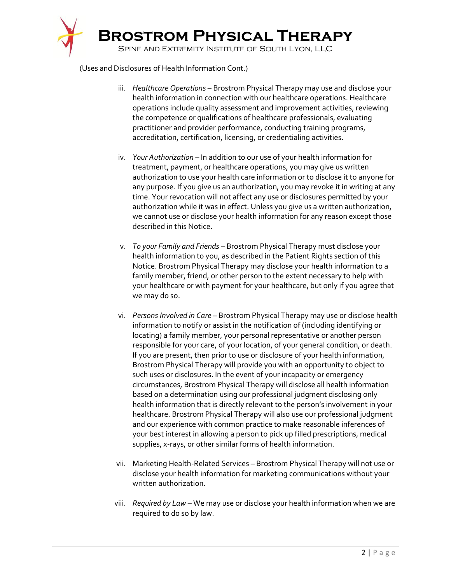

(Uses and Disclosures of Health Information Cont.)

- iii. *Healthcare Operations* Brostrom Physical Therapy may use and disclose your health information in connection with our healthcare operations. Healthcare operations include quality assessment and improvement activities, reviewing the competence or qualifications of healthcare professionals, evaluating practitioner and provider performance, conducting training programs, accreditation, certification, licensing, or credentialing activities.
- iv. *Your Authorization* In addition to our use of your health information for treatment, payment, or healthcare operations, you may give us written authorization to use your health care information or to disclose it to anyone for any purpose. If you give us an authorization, you may revoke it in writing at any time. Your revocation will not affect any use or disclosures permitted by your authorization while it was in effect. Unless you give us a written authorization, we cannot use or disclose your health information for any reason except those described in this Notice.
- v. *To your Family and Friends* Brostrom Physical Therapy must disclose your health information to you, as described in the Patient Rights section of this Notice. Brostrom Physical Therapy may disclose your health information to a family member, friend, or other person to the extent necessary to help with your healthcare or with payment for your healthcare, but only if you agree that we may do so.
- vi. *Persons Involved in Care* Brostrom Physical Therapy may use or disclose health information to notify or assist in the notification of (including identifying or locating) a family member, your personal representative or another person responsible for your care, of your location, of your general condition, or death. If you are present, then prior to use or disclosure of your health information, Brostrom Physical Therapy will provide you with an opportunity to object to such uses or disclosures. In the event of your incapacity or emergency circumstances, Brostrom Physical Therapy will disclose all health information based on a determination using our professional judgment disclosing only health information that is directly relevant to the person's involvement in your healthcare. Brostrom Physical Therapy will also use our professional judgment and our experience with common practice to make reasonable inferences of your best interest in allowing a person to pick up filled prescriptions, medical supplies, x-rays, or other similar forms of health information.
- vii. Marketing Health-Related Services Brostrom Physical Therapy will not use or disclose your health information for marketing communications without your written authorization.
- viii. *Required by Law* We may use or disclose your health information when we are required to do so by law.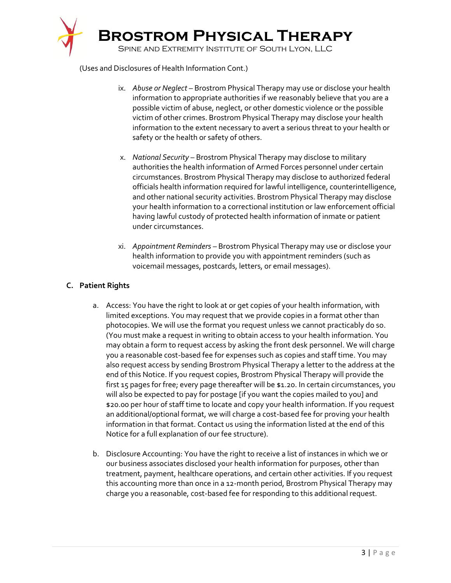

(Uses and Disclosures of Health Information Cont.)

- ix. *Abuse or Neglect* Brostrom Physical Therapy may use or disclose your health information to appropriate authorities if we reasonably believe that you are a possible victim of abuse, neglect, or other domestic violence or the possible victim of other crimes. Brostrom Physical Therapy may disclose your health information to the extent necessary to avert a serious threat to your health or safety or the health or safety of others.
- x. *National Security* Brostrom Physical Therapy may disclose to military authorities the health information of Armed Forces personnel under certain circumstances. Brostrom Physical Therapy may disclose to authorized federal officials health information required for lawful intelligence, counterintelligence, and other national security activities. Brostrom Physical Therapy may disclose your health information to a correctional institution or law enforcement official having lawful custody of protected health information of inmate or patient under circumstances.
- xi. *Appointment Reminders* Brostrom Physical Therapy may use or disclose your health information to provide you with appointment reminders (such as voicemail messages, postcards, letters, or email messages).

## **C. Patient Rights**

- a. Access: You have the right to look at or get copies of your health information, with limited exceptions. You may request that we provide copies in a format other than photocopies. We will use the format you request unless we cannot practicably do so. (You must make a request in writing to obtain access to your health information. You may obtain a form to request access by asking the front desk personnel. We will charge you a reasonable cost-based fee for expenses such as copies and staff time. You may also request access by sending Brostrom Physical Therapy a letter to the address at the end of this Notice. If you request copies, Brostrom Physical Therapy will provide the first 15 pages for free; every page thereafter will be \$1.20. In certain circumstances, you will also be expected to pay for postage [if you want the copies mailed to you] and \$20.00 per hour of staff time to locate and copy your health information. If you request an additional/optional format, we will charge a cost-based fee for proving your health information in that format. Contact us using the information listed at the end of this Notice for a full explanation of our fee structure).
- b. Disclosure Accounting: You have the right to receive a list of instances in which we or our business associates disclosed your health information for purposes, other than treatment, payment, healthcare operations, and certain other activities. If you request this accounting more than once in a 12-month period, Brostrom Physical Therapy may charge you a reasonable, cost-based fee for responding to this additional request.